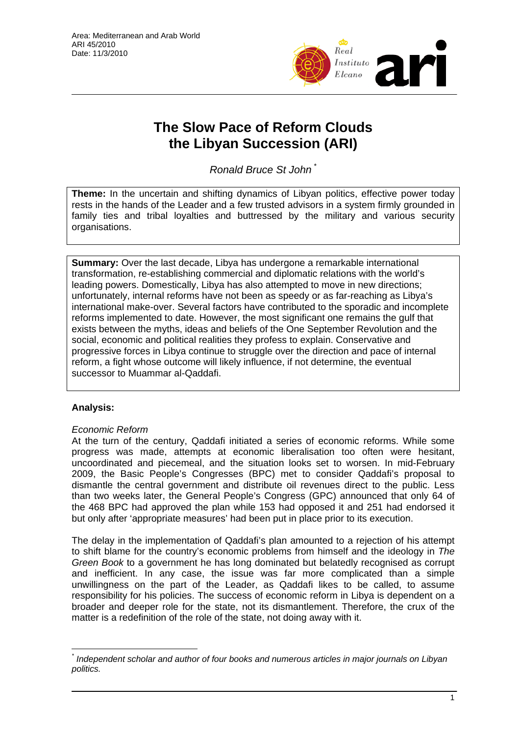

# **The Slow Pace of Reform Clouds the Libyan Succession (ARI)**

*Ronald Bruce St John* [\\*](#page-0-0)

**Theme:** In the uncertain and shifting dynamics of Libyan politics, effective power today rests in the hands of the Leader and a few trusted advisors in a system firmly grounded in family ties and tribal loyalties and buttressed by the military and various security organisations.

**Summary:** Over the last decade, Libya has undergone a remarkable international transformation, re-establishing commercial and diplomatic relations with the world's leading powers. Domestically, Libya has also attempted to move in new directions; unfortunately, internal reforms have not been as speedy or as far-reaching as Libya's international make-over. Several factors have contributed to the sporadic and incomplete reforms implemented to date. However, the most significant one remains the gulf that exists between the myths, ideas and beliefs of the One September Revolution and the social, economic and political realities they profess to explain. Conservative and progressive forces in Libya continue to struggle over the direction and pace of internal reform, a fight whose outcome will likely influence, if not determine, the eventual successor to Muammar al-Qaddafi.

## **Analysis:**

## *Economic Reform*

At the turn of the century, Qaddafi initiated a series of economic reforms. While some progress was made, attempts at economic liberalisation too often were hesitant, uncoordinated and piecemeal, and the situation looks set to worsen. In mid-February 2009, the Basic People's Congresses (BPC) met to consider Qaddafi's proposal to dismantle the central government and distribute oil revenues direct to the public. Less than two weeks later, the General People's Congress (GPC) announced that only 64 of the 468 BPC had approved the plan while 153 had opposed it and 251 had endorsed it but only after 'appropriate measures' had been put in place prior to its execution.

The delay in the implementation of Qaddafi's plan amounted to a rejection of his attempt to shift blame for the country's economic problems from himself and the ideology in *The Green Book* to a government he has long dominated but belatedly recognised as corrupt and inefficient. In any case, the issue was far more complicated than a simple unwillingness on the part of the Leader, as Qaddafi likes to be called, to assume responsibility for his policies. The success of economic reform in Libya is dependent on a broader and deeper role for the state, not its dismantlement. Therefore, the crux of the matter is a redefinition of the role of the state, not doing away with it.

<span id="page-0-0"></span> $\overline{a}$ *\* Independent scholar and author of four books and numerous articles in major journals on Libyan politics.*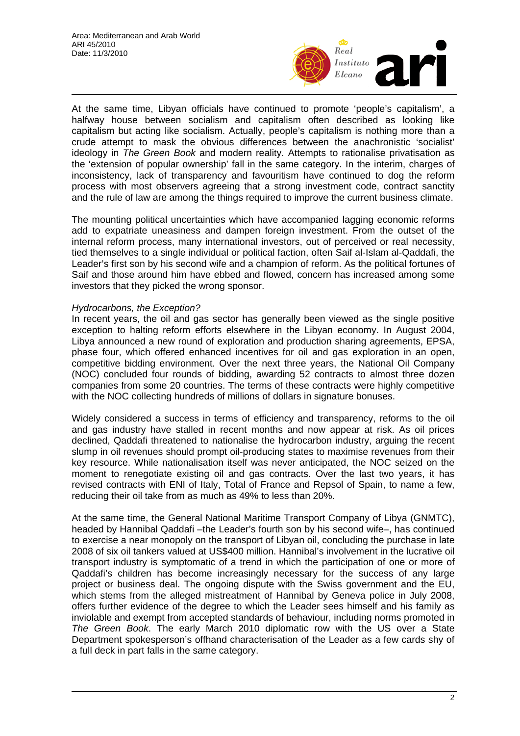

At the same time, Libyan officials have continued to promote 'people's capitalism', a halfway house between socialism and capitalism often described as looking like capitalism but acting like socialism. Actually, people's capitalism is nothing more than a crude attempt to mask the obvious differences between the anachronistic 'socialist' ideology in *The Green Book* and modern reality. Attempts to rationalise privatisation as the 'extension of popular ownership' fall in the same category. In the interim, charges of inconsistency, lack of transparency and favouritism have continued to dog the reform process with most observers agreeing that a strong investment code, contract sanctity and the rule of law are among the things required to improve the current business climate.

The mounting political uncertainties which have accompanied lagging economic reforms add to expatriate uneasiness and dampen foreign investment. From the outset of the internal reform process, many international investors, out of perceived or real necessity, tied themselves to a single individual or political faction, often Saif al-Islam al-Qaddafi, the Leader's first son by his second wife and a champion of reform. As the political fortunes of Saif and those around him have ebbed and flowed, concern has increased among some investors that they picked the wrong sponsor.

#### *Hydrocarbons, the Exception?*

In recent years, the oil and gas sector has generally been viewed as the single positive exception to halting reform efforts elsewhere in the Libyan economy. In August 2004, Libya announced a new round of exploration and production sharing agreements, EPSA, phase four, which offered enhanced incentives for oil and gas exploration in an open, competitive bidding environment. Over the next three years, the National Oil Company (NOC) concluded four rounds of bidding, awarding 52 contracts to almost three dozen companies from some 20 countries. The terms of these contracts were highly competitive with the NOC collecting hundreds of millions of dollars in signature bonuses.

Widely considered a success in terms of efficiency and transparency, reforms to the oil and gas industry have stalled in recent months and now appear at risk. As oil prices declined, Qaddafi threatened to nationalise the hydrocarbon industry, arguing the recent slump in oil revenues should prompt oil-producing states to maximise revenues from their key resource. While nationalisation itself was never anticipated, the NOC seized on the moment to renegotiate existing oil and gas contracts. Over the last two years, it has revised contracts with ENI of Italy, Total of France and Repsol of Spain, to name a few, reducing their oil take from as much as 49% to less than 20%.

At the same time, the General National Maritime Transport Company of Libya (GNMTC), headed by Hannibal Qaddafi –the Leader's fourth son by his second wife–, has continued to exercise a near monopoly on the transport of Libyan oil, concluding the purchase in late 2008 of six oil tankers valued at US\$400 million. Hannibal's involvement in the lucrative oil transport industry is symptomatic of a trend in which the participation of one or more of Qaddafi's children has become increasingly necessary for the success of any large project or business deal. The ongoing dispute with the Swiss government and the EU, which stems from the alleged mistreatment of Hannibal by Geneva police in July 2008, offers further evidence of the degree to which the Leader sees himself and his family as inviolable and exempt from accepted standards of behaviour, including norms promoted in *The Green Book*. The early March 2010 diplomatic row with the US over a State Department spokesperson's offhand characterisation of the Leader as a few cards shy of a full deck in part falls in the same category.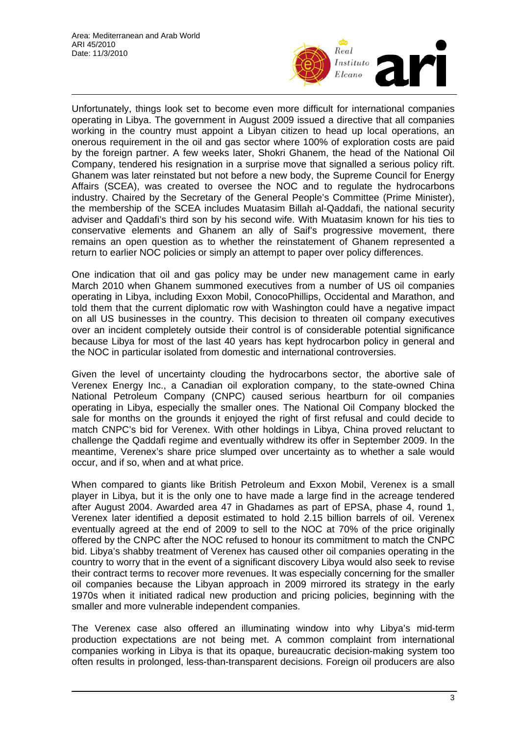

Unfortunately, things look set to become even more difficult for international companies operating in Libya. The government in August 2009 issued a directive that all companies working in the country must appoint a Libyan citizen to head up local operations, an onerous requirement in the oil and gas sector where 100% of exploration costs are paid by the foreign partner. A few weeks later, Shokri Ghanem, the head of the National Oil Company, tendered his resignation in a surprise move that signalled a serious policy rift. Ghanem was later reinstated but not before a new body, the Supreme Council for Energy Affairs (SCEA), was created to oversee the NOC and to regulate the hydrocarbons industry. Chaired by the Secretary of the General People's Committee (Prime Minister), the membership of the SCEA includes Muatasim Billah al-Qaddafi, the national security adviser and Qaddafi's third son by his second wife. With Muatasim known for his ties to conservative elements and Ghanem an ally of Saif's progressive movement, there remains an open question as to whether the reinstatement of Ghanem represented a return to earlier NOC policies or simply an attempt to paper over policy differences.

One indication that oil and gas policy may be under new management came in early March 2010 when Ghanem summoned executives from a number of US oil companies operating in Libya, including Exxon Mobil, ConocoPhillips, Occidental and Marathon, and told them that the current diplomatic row with Washington could have a negative impact on all US businesses in the country. This decision to threaten oil company executives over an incident completely outside their control is of considerable potential significance because Libya for most of the last 40 years has kept hydrocarbon policy in general and the NOC in particular isolated from domestic and international controversies.

Given the level of uncertainty clouding the hydrocarbons sector, the abortive sale of Verenex Energy Inc., a Canadian oil exploration company, to the state-owned China National Petroleum Company (CNPC) caused serious heartburn for oil companies operating in Libya, especially the smaller ones. The National Oil Company blocked the sale for months on the grounds it enjoyed the right of first refusal and could decide to match CNPC's bid for Verenex. With other holdings in Libya, China proved reluctant to challenge the Qaddafi regime and eventually withdrew its offer in September 2009. In the meantime, Verenex's share price slumped over uncertainty as to whether a sale would occur, and if so, when and at what price.

When compared to giants like British Petroleum and Exxon Mobil, Verenex is a small player in Libya, but it is the only one to have made a large find in the acreage tendered after August 2004. Awarded area 47 in Ghadames as part of EPSA, phase 4, round 1, Verenex later identified a deposit estimated to hold 2.15 billion barrels of oil. Verenex eventually agreed at the end of 2009 to sell to the NOC at 70% of the price originally offered by the CNPC after the NOC refused to honour its commitment to match the CNPC bid. Libya's shabby treatment of Verenex has caused other oil companies operating in the country to worry that in the event of a significant discovery Libya would also seek to revise their contract terms to recover more revenues. It was especially concerning for the smaller oil companies because the Libyan approach in 2009 mirrored its strategy in the early 1970s when it initiated radical new production and pricing policies, beginning with the smaller and more vulnerable independent companies.

The Verenex case also offered an illuminating window into why Libya's mid-term production expectations are not being met. A common complaint from international companies working in Libya is that its opaque, bureaucratic decision-making system too often results in prolonged, less-than-transparent decisions. Foreign oil producers are also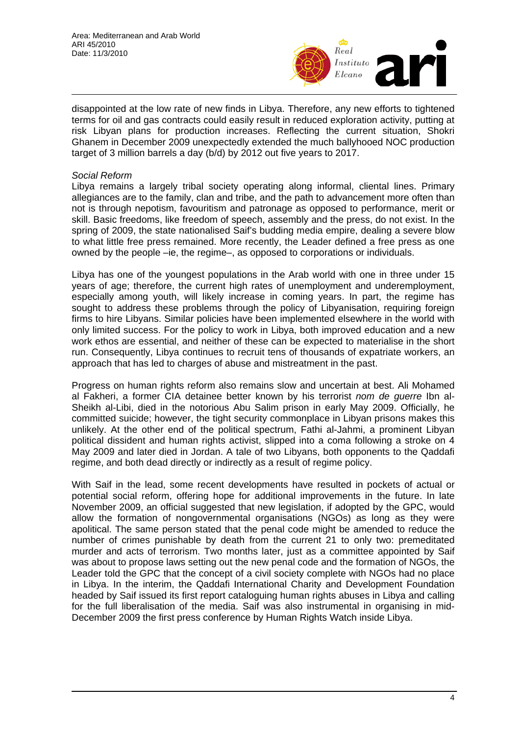

disappointed at the low rate of new finds in Libya. Therefore, any new efforts to tightened terms for oil and gas contracts could easily result in reduced exploration activity, putting at risk Libyan plans for production increases. Reflecting the current situation, Shokri Ghanem in December 2009 unexpectedly extended the much ballyhooed NOC production target of 3 million barrels a day (b/d) by 2012 out five years to 2017.

#### *Social Reform*

Libya remains a largely tribal society operating along informal, cliental lines. Primary allegiances are to the family, clan and tribe, and the path to advancement more often than not is through nepotism, favouritism and patronage as opposed to performance, merit or skill. Basic freedoms, like freedom of speech, assembly and the press, do not exist. In the spring of 2009, the state nationalised Saif's budding media empire, dealing a severe blow to what little free press remained. More recently, the Leader defined a free press as one owned by the people –ie, the regime–, as opposed to corporations or individuals.

Libya has one of the youngest populations in the Arab world with one in three under 15 years of age; therefore, the current high rates of unemployment and underemployment, especially among youth, will likely increase in coming years. In part, the regime has sought to address these problems through the policy of Libyanisation, requiring foreign firms to hire Libyans. Similar policies have been implemented elsewhere in the world with only limited success. For the policy to work in Libya, both improved education and a new work ethos are essential, and neither of these can be expected to materialise in the short run. Consequently, Libya continues to recruit tens of thousands of expatriate workers, an approach that has led to charges of abuse and mistreatment in the past.

Progress on human rights reform also remains slow and uncertain at best. Ali Mohamed al Fakheri, a former CIA detainee better known by his terrorist *nom de guerre* Ibn al-Sheikh al-Libi, died in the notorious Abu Salim prison in early May 2009. Officially, he committed suicide; however, the tight security commonplace in Libyan prisons makes this unlikely. At the other end of the political spectrum, Fathi al-Jahmi, a prominent Libyan political dissident and human rights activist, slipped into a coma following a stroke on 4 May 2009 and later died in Jordan. A tale of two Libyans, both opponents to the Qaddafi regime, and both dead directly or indirectly as a result of regime policy.

With Saif in the lead, some recent developments have resulted in pockets of actual or potential social reform, offering hope for additional improvements in the future. In late November 2009, an official suggested that new legislation, if adopted by the GPC, would allow the formation of nongovernmental organisations (NGOs) as long as they were apolitical. The same person stated that the penal code might be amended to reduce the number of crimes punishable by death from the current 21 to only two: premeditated murder and acts of terrorism. Two months later, just as a committee appointed by Saif was about to propose laws setting out the new penal code and the formation of NGOs, the Leader told the GPC that the concept of a civil society complete with NGOs had no place in Libya. In the interim, the Qaddafi International Charity and Development Foundation headed by Saif issued its first report cataloguing human rights abuses in Libya and calling for the full liberalisation of the media. Saif was also instrumental in organising in mid-December 2009 the first press conference by Human Rights Watch inside Libya.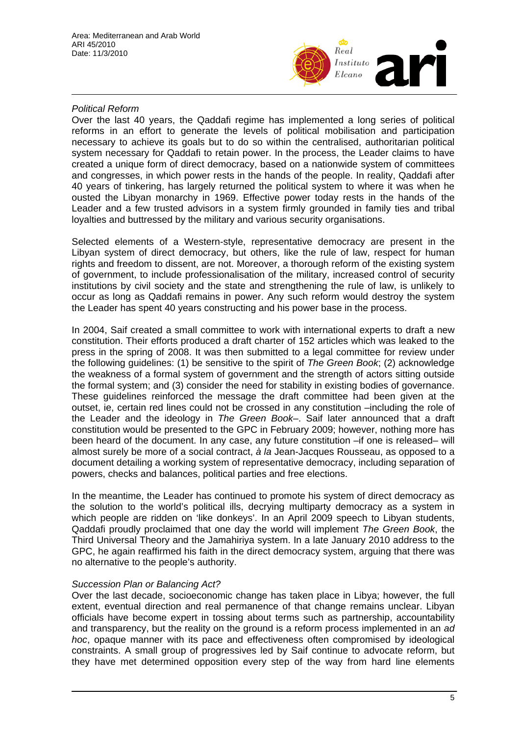

### *Political Reform*

Over the last 40 years, the Qaddafi regime has implemented a long series of political reforms in an effort to generate the levels of political mobilisation and participation necessary to achieve its goals but to do so within the centralised, authoritarian political system necessary for Qaddafi to retain power. In the process, the Leader claims to have created a unique form of direct democracy, based on a nationwide system of committees and congresses, in which power rests in the hands of the people. In reality, Qaddafi after 40 years of tinkering, has largely returned the political system to where it was when he ousted the Libyan monarchy in 1969. Effective power today rests in the hands of the Leader and a few trusted advisors in a system firmly grounded in family ties and tribal loyalties and buttressed by the military and various security organisations.

Selected elements of a Western-style, representative democracy are present in the Libyan system of direct democracy, but others, like the rule of law, respect for human rights and freedom to dissent, are not. Moreover, a thorough reform of the existing system of government, to include professionalisation of the military, increased control of security institutions by civil society and the state and strengthening the rule of law, is unlikely to occur as long as Qaddafi remains in power. Any such reform would destroy the system the Leader has spent 40 years constructing and his power base in the process.

In 2004, Saif created a small committee to work with international experts to draft a new constitution. Their efforts produced a draft charter of 152 articles which was leaked to the press in the spring of 2008. It was then submitted to a legal committee for review under the following guidelines: (1) be sensitive to the spirit of *The Green Book*; (2) acknowledge the weakness of a formal system of government and the strength of actors sitting outside the formal system; and (3) consider the need for stability in existing bodies of governance. These guidelines reinforced the message the draft committee had been given at the outset, ie, certain red lines could not be crossed in any constitution –including the role of the Leader and the ideology in *The Green Book*–. Saif later announced that a draft constitution would be presented to the GPC in February 2009; however, nothing more has been heard of the document. In any case, any future constitution –if one is released– will almost surely be more of a social contract, *à la* Jean-Jacques Rousseau, as opposed to a document detailing a working system of representative democracy, including separation of powers, checks and balances, political parties and free elections.

In the meantime, the Leader has continued to promote his system of direct democracy as the solution to the world's political ills, decrying multiparty democracy as a system in which people are ridden on 'like donkeys'. In an April 2009 speech to Libyan students, Qaddafi proudly proclaimed that one day the world will implement *The Green Book*, the Third Universal Theory and the Jamahiriya system. In a late January 2010 address to the GPC, he again reaffirmed his faith in the direct democracy system, arguing that there was no alternative to the people's authority.

#### *Succession Plan or Balancing Act?*

Over the last decade, socioeconomic change has taken place in Libya; however, the full extent, eventual direction and real permanence of that change remains unclear. Libyan officials have become expert in tossing about terms such as partnership, accountability and transparency, but the reality on the ground is a reform process implemented in an *ad hoc*, opaque manner with its pace and effectiveness often compromised by ideological constraints. A small group of progressives led by Saif continue to advocate reform, but they have met determined opposition every step of the way from hard line elements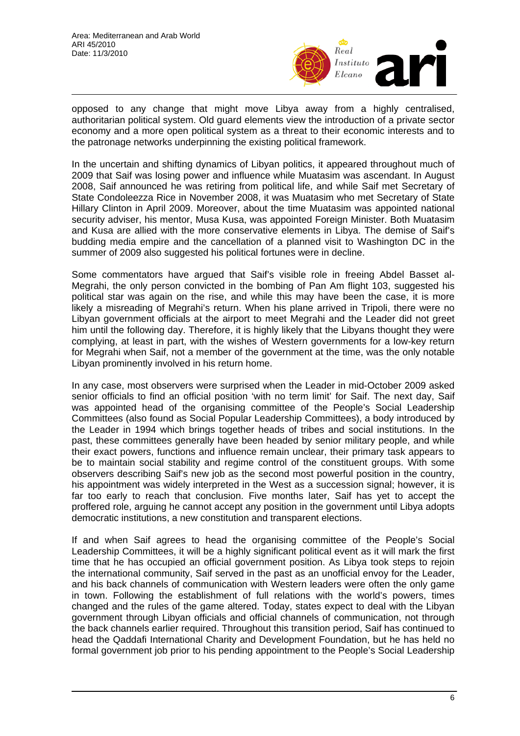

opposed to any change that might move Libya away from a highly centralised, authoritarian political system. Old guard elements view the introduction of a private sector economy and a more open political system as a threat to their economic interests and to the patronage networks underpinning the existing political framework.

In the uncertain and shifting dynamics of Libyan politics, it appeared throughout much of 2009 that Saif was losing power and influence while Muatasim was ascendant. In August 2008, Saif announced he was retiring from political life, and while Saif met Secretary of State Condoleezza Rice in November 2008, it was Muatasim who met Secretary of State Hillary Clinton in April 2009. Moreover, about the time Muatasim was appointed national security adviser, his mentor, Musa Kusa, was appointed Foreign Minister. Both Muatasim and Kusa are allied with the more conservative elements in Libya. The demise of Saif's budding media empire and the cancellation of a planned visit to Washington DC in the summer of 2009 also suggested his political fortunes were in decline.

Some commentators have argued that Saif's visible role in freeing Abdel Basset al-Megrahi, the only person convicted in the bombing of Pan Am flight 103, suggested his political star was again on the rise, and while this may have been the case, it is more likely a misreading of Megrahi's return. When his plane arrived in Tripoli, there were no Libyan government officials at the airport to meet Megrahi and the Leader did not greet him until the following day. Therefore, it is highly likely that the Libyans thought they were complying, at least in part, with the wishes of Western governments for a low-key return for Megrahi when Saif, not a member of the government at the time, was the only notable Libyan prominently involved in his return home.

In any case, most observers were surprised when the Leader in mid-October 2009 asked senior officials to find an official position 'with no term limit' for Saif. The next day, Saif was appointed head of the organising committee of the People's Social Leadership Committees (also found as Social Popular Leadership Committees), a body introduced by the Leader in 1994 which brings together heads of tribes and social institutions. In the past, these committees generally have been headed by senior military people, and while their exact powers, functions and influence remain unclear, their primary task appears to be to maintain social stability and regime control of the constituent groups. With some observers describing Saif's new job as the second most powerful position in the country, his appointment was widely interpreted in the West as a succession signal; however, it is far too early to reach that conclusion. Five months later, Saif has yet to accept the proffered role, arguing he cannot accept any position in the government until Libya adopts democratic institutions, a new constitution and transparent elections.

If and when Saif agrees to head the organising committee of the People's Social Leadership Committees, it will be a highly significant political event as it will mark the first time that he has occupied an official government position. As Libya took steps to rejoin the international community, Saif served in the past as an unofficial envoy for the Leader, and his back channels of communication with Western leaders were often the only game in town. Following the establishment of full relations with the world's powers, times changed and the rules of the game altered. Today, states expect to deal with the Libyan government through Libyan officials and official channels of communication, not through the back channels earlier required. Throughout this transition period, Saif has continued to head the Qaddafi International Charity and Development Foundation, but he has held no formal government job prior to his pending appointment to the People's Social Leadership